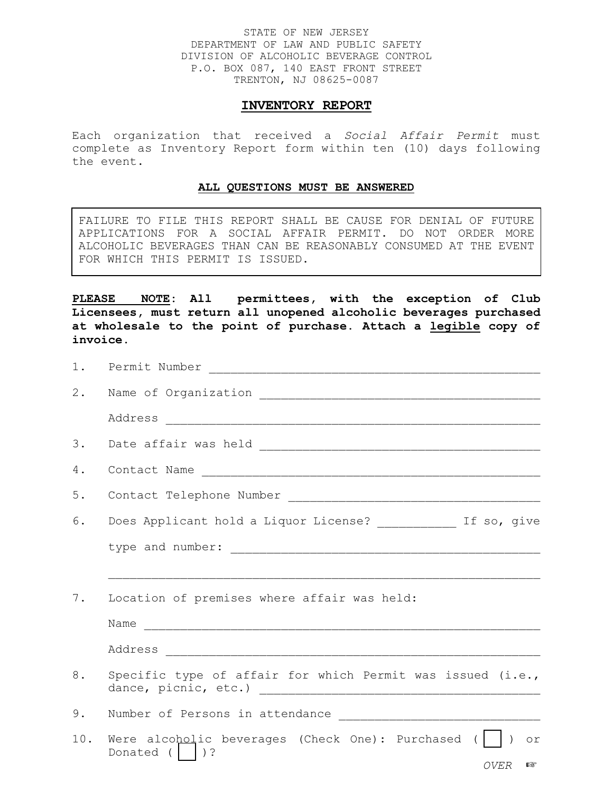## STATE OF NEW JERSEY DEPARTMENT OF LAW AND PUBLIC SAFETY DIVISION OF ALCOHOLIC BEVERAGE CONTROL P.O. BOX 087, 140 EAST FRONT STREET TRENTON, NJ 08625-0087

## **INVENTORY REPORT**

Each organization that received a *Social Affair Permit* must complete as Inventory Report form within ten (10) days following the event.

## **ALL QUESTIONS MUST BE ANSWERED**

FAILURE TO FILE THIS REPORT SHALL BE CAUSE FOR DENIAL OF FUTURE APPLICATIONS FOR A SOCIAL AFFAIR PERMIT. DO NOT ORDER MORE ALCOHOLIC BEVERAGES THAN CAN BE REASONABLY CONSUMED AT THE EVENT FOR WHICH THIS PERMIT IS ISSUED.

**PLEASE NOTE: All permittees, with the exception of Club Licensees, must return all unopened alcoholic beverages purchased at wholesale to the point of purchase. Attach a legible copy of invoice.**

| 1.  |                                                                                                         |  |  |  |  |  |  |  |
|-----|---------------------------------------------------------------------------------------------------------|--|--|--|--|--|--|--|
| 2.  |                                                                                                         |  |  |  |  |  |  |  |
|     |                                                                                                         |  |  |  |  |  |  |  |
| 3.  |                                                                                                         |  |  |  |  |  |  |  |
| 4.  |                                                                                                         |  |  |  |  |  |  |  |
| 5.  |                                                                                                         |  |  |  |  |  |  |  |
| 6.  | Does Applicant hold a Liquor License? ____________ If so, give                                          |  |  |  |  |  |  |  |
|     |                                                                                                         |  |  |  |  |  |  |  |
|     |                                                                                                         |  |  |  |  |  |  |  |
| 7.  | Location of premises where affair was held:                                                             |  |  |  |  |  |  |  |
|     | Name                                                                                                    |  |  |  |  |  |  |  |
|     |                                                                                                         |  |  |  |  |  |  |  |
| 8.  | Specific type of affair for which Permit was issued (i.e.,                                              |  |  |  |  |  |  |  |
| 9.  |                                                                                                         |  |  |  |  |  |  |  |
| 10. | Were alcoholic beverages (Check One): Purchased $($   $)$<br>$\circ$ r<br>Donated $(  )$ ?<br>OVER<br>眨 |  |  |  |  |  |  |  |